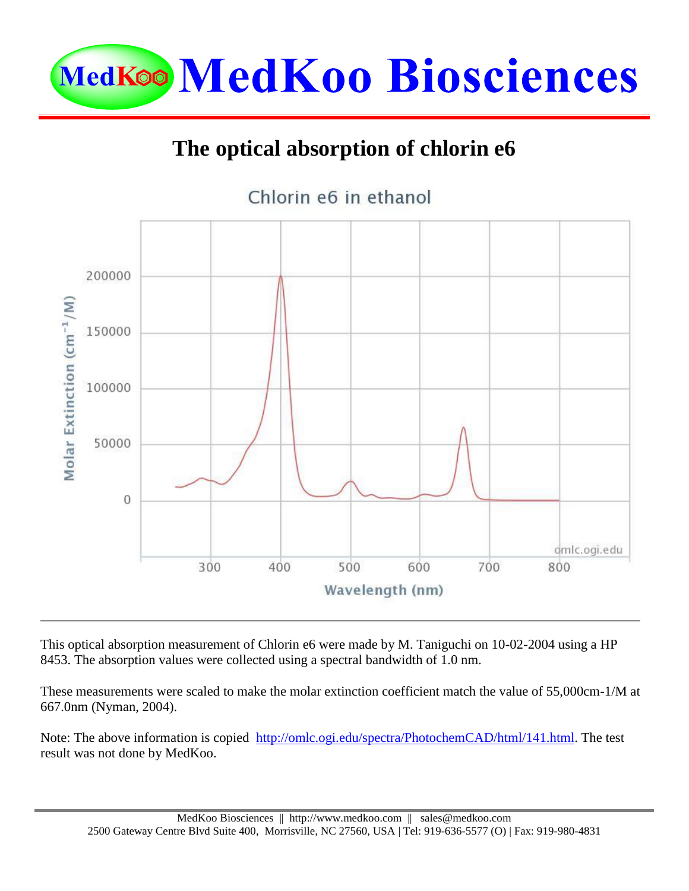

## **The optical absorption of chlorin e6**



This optical absorption measurement of Chlorin e6 were made by M. Taniguchi on 10-02-2004 using a HP 8453. The absorption values were collected using a spectral bandwidth of 1.0 nm.

These measurements were scaled to make the molar extinction coefficient match the value of 55,000cm-1/M at 667.0nm (Nyman, 2004).

Note: The above information is copied [http://omlc.ogi.edu/spectra/PhotochemCAD/html/141.html.](http://omlc.ogi.edu/spectra/PhotochemCAD/html/141.html) The test result was not done by MedKoo.